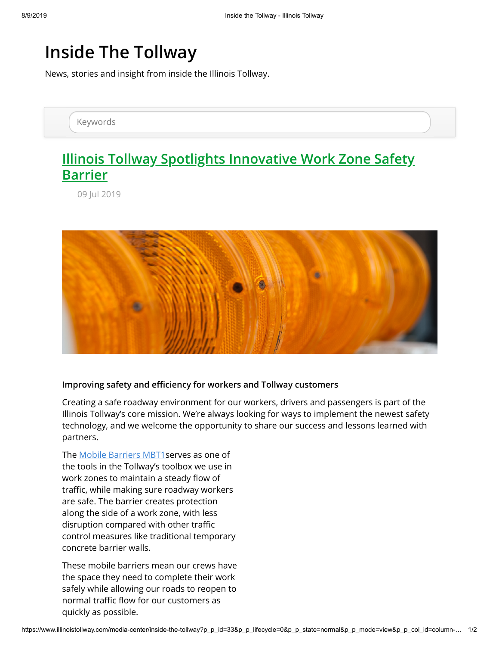## **Inside The Tollway**

News, stories and insight from inside the Illinois Tollway.

Keywords

## **[Illinois Tollway Spotlights Innovative Work Zone Safety](javascript:location.reload();) Barrier**

09 Jul 2019



## **Improving safety and efficiency for workers and Tollway customers**

Creating a safe roadway environment for our workers, drivers and passengers is part of the Illinois Tollway's core mission. We're always looking for ways to implement the newest safety technology, and we welcome the opportunity to share our success and lessons learned with partners.

The [Mobile Barriers MBT1](https://www.mobilebarriers.com/index.html)serves as one of the tools in the Tollway's toolbox we use in work zones to maintain a steady flow of traffic, while making sure roadway workers are safe. The barrier creates protection along the side of a work zone, with less disruption compared with other traffic control measures like traditional temporary concrete barrier walls.

These mobile barriers mean our crews have the space they need to complete their work safely while allowing our roads to reopen to normal traffic flow for our customers as quickly as possible.